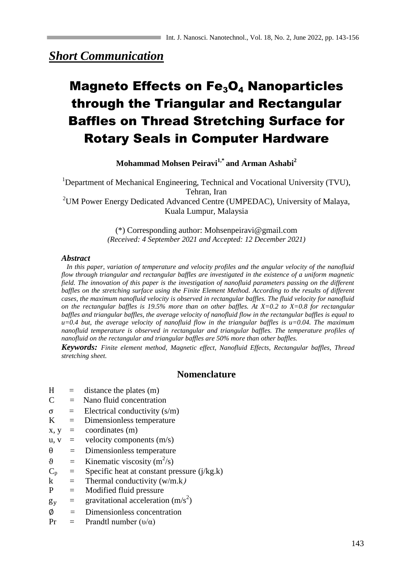## *Short Communication*

# Magneto Effects on  $Fe<sub>3</sub>O<sub>4</sub>$  Nanoparticles through the Triangular and Rectangular Baffles on Thread Stretching Surface for Rotary Seals in Computer Hardware

**Mohammad Mohsen Peiravi1,\* and Arman Ashabi<sup>2</sup>**

<sup>1</sup>Department of Mechanical Engineering, Technical and Vocational University (TVU), Tehran, Iran <sup>2</sup>UM Power Energy Dedicated Advanced Centre (UMPEDAC), University of Malaya, Kuala Lumpur, Malaysia

> (\*) Corresponding author: Mohsenpeiravi@gmail.com *(Received: 4 September 2021 and Accepted: 12 December 2021)*

#### *Abstract*

 *In this paper, variation of temperature and velocity profiles and the angular velocity of the nanofluid flow through triangular and rectangular baffles are investigated in the existence of a uniform magnetic field. The innovation of this paper is the investigation of nanofluid parameters passing on the different baffles on the stretching surface using the Finite Element Method. According to the results of different cases, the maximum nanofluid velocity is observed in rectangular baffles. The fluid velocity for nanofluid on the rectangular baffles is 19.5% more than on other baffles. At X=0.2 to X=0.8 for rectangular baffles and triangular baffles, the average velocity of nanofluid flow in the rectangular baffles is equal to u=0.4 but, the average velocity of nanofluid flow in the triangular baffles is u=0.04. The maximum nanofluid temperature is observed in rectangular and triangular baffles. The temperature profiles of nanofluid on the rectangular and triangular baffles are 50% more than other baffles.*

*Keywords: Finite element method, Magnetic effect, Nanofluid Effects, Rectangular baffles, Thread stretching sheet.*

## **Nomenclature**

- $H =$  distance the plates (m)
- $C =$  Nano fluid concentration
- $\sigma$  = Electrical conductivity  $(s/m)$
- $K =$  Dimensionless temperature
- $x, y =$  coordinates  $(m)$
- $u, v =$  velocity components  $(m/s)$
- $\theta$  = Dimensionless temperature
- $\theta$  = Kinematic viscosity (m<sup>2</sup>/s)
- $C_p$  = Specific heat at constant pressure (j/kg.k)
- $k =$  Thermal conductivity (w/m.k)
- P = Modified fluid pressure
- $g_v$  = gravitational acceleration (m/s<sup>2</sup>)
- $\Phi$  = Dimensionless concentration
- Pr = Prandtl number  $(v/\alpha)$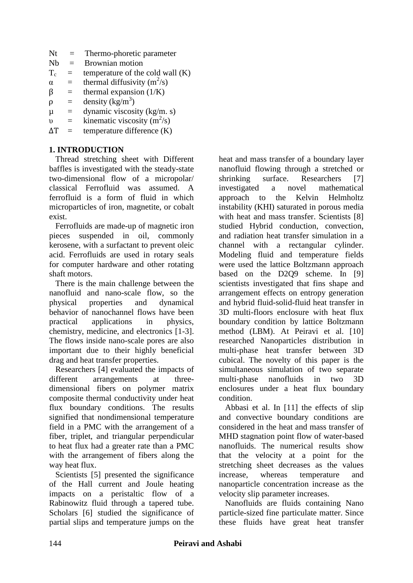- Nt = Thermo-phoretic parameter
- Nb = Brownian motion
- $T_c$  = temperature of the cold wall  $(K)$
- $\alpha$  = thermal diffusivity (m<sup>2</sup>/s)
- $\beta$  = thermal expansion (1/K)
- $\rho$  = density (kg/m<sup>3</sup>)
- $\mu$  = dynamic viscosity (kg/m. s)
- $v =$  kinematic viscosity (m<sup>2</sup>/s)
- $\Delta T =$  temperature difference (K)

## **1. INTRODUCTION**

 Thread stretching sheet with Different baffles is investigated with the steady-state two-dimensional flow of a micropolar/ classical Ferrofluid was assumed. A ferrofluid is a form of fluid in which microparticles of iron, magnetite, or cobalt exist.

 Ferrofluids are made-up of magnetic iron pieces suspended in oil, commonly kerosene, with a surfactant to prevent oleic acid. Ferrofluids are used in rotary seals for computer hardware and other rotating shaft motors.

 There is the main challenge between the nanofluid and nano-scale flow, so the physical properties and dynamical behavior of nanochannel flows have been practical applications in physics, chemistry, medicine, and electronics [1-3]. The flows inside nano-scale pores are also important due to their highly beneficial drag and heat transfer properties.

 Researchers [4] evaluated the impacts of different arrangements at threedimensional fibers on polymer matrix composite thermal conductivity under heat flux boundary conditions. The results signified that nondimensional temperature field in a PMC with the arrangement of a fiber, triplet, and triangular perpendicular to heat flux had a greater rate than a PMC with the arrangement of fibers along the way heat flux.

Scientists [5] presented the significance of the Hall current and Joule heating impacts on a peristaltic flow of a Rabinowitz fluid through a tapered tube. Scholars [6] studied the significance of partial slips and temperature jumps on the

heat and mass transfer of a boundary layer nanofluid flowing through a stretched or shrinking surface. Researchers [7] investigated a novel mathematical approach to the Kelvin Helmholtz instability (KHI) saturated in porous media with heat and mass transfer. Scientists [8] studied Hybrid conduction, convection, and radiation heat transfer simulation in a channel with a rectangular cylinder. Modeling fluid and temperature fields were used the lattice Boltzmann approach based on the D2Q9 scheme. In [9] scientists investigated that fins shape and arrangement effects on entropy generation and hybrid fluid-solid-fluid heat transfer in 3D multi-floors enclosure with heat flux boundary condition by lattice Boltzmann method (LBM). At Peiravi et al. [10] researched Nanoparticles distribution in multi-phase heat transfer between 3D cubical. The novelty of this paper is the simultaneous simulation of two separate multi-phase nanofluids in two 3D enclosures under a heat flux boundary condition.

 Abbasi et al. In [11] the effects of slip and convective boundary conditions are considered in the heat and mass transfer of MHD stagnation point flow of water-based nanofluids. The numerical results show that the velocity at a point for the stretching sheet decreases as the values increase, whereas temperature and nanoparticle concentration increase as the velocity slip parameter increases.

 Nanofluids are fluids containing Nano particle-sized fine particulate matter. Since these fluids have great heat transfer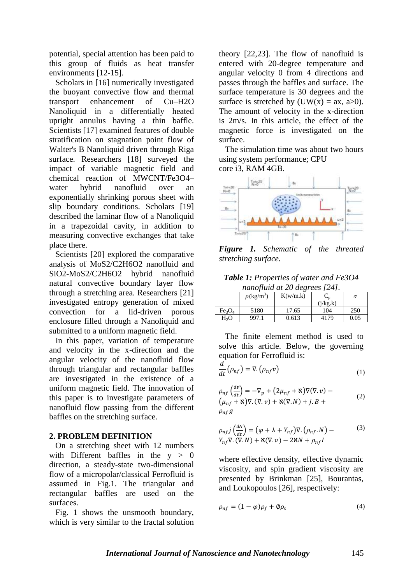potential, special attention has been paid to this group of fluids as heat transfer environments [12-15].

 Scholars in [16] numerically investigated the buoyant convective flow and thermal transport enhancement of Cu–H2O Nanoliquid in a differentially heated upright annulus having a thin baffle. Scientists [17] examined features of double stratification on stagnation point flow of Walter's B Nanoliquid driven through Riga surface. Researchers [18] surveyed the impact of variable magnetic field and chemical reaction of MWCNT/Fe3O4– water hybrid nanofluid over an exponentially shrinking porous sheet with slip boundary conditions. Scholars [19] described the laminar flow of a Nanoliquid in a trapezoidal cavity, in addition to measuring convective exchanges that take place there.

 Scientists [20] explored the comparative analysis of MoS2/C2H6O2 nanofluid and SiO2-MoS2/C2H6O2 hybrid nanofluid natural convective boundary layer flow through a stretching area. Researchers [21] investigated entropy generation of mixed convection for a lid-driven porous enclosure filled through a Nanoliquid and submitted to a uniform magnetic field.

 In this paper, variation of temperature and velocity in the x-direction and the angular velocity of the nanofluid flow through triangular and rectangular baffles are investigated in the existence of a uniform magnetic field. The innovation of this paper is to investigate parameters of nanofluid flow passing from the different baffles on the stretching surface.

## **2. PROBLEM DEFINITION**

 On a stretching sheet with 12 numbers with Different baffles in the  $y > 0$ direction, a steady-state two-dimensional flow of a micropolar/classical Ferrofluid is assumed in Fig.1. The triangular and rectangular baffles are used on the surfaces.

 Fig. 1 shows the unsmooth boundary, which is very similar to the fractal solution theory [22,23]. The flow of nanofluid is entered with 20-degree temperature and angular velocity 0 from 4 directions and passes through the baffles and surface. The surface temperature is 30 degrees and the surface is stretched by  $(UW(x) = ax, a>0)$ . The amount of velocity in the x-direction is 2m/s. In this article, the effect of the magnetic force is investigated on the surface.

 The simulation time was about two hours using system performance; CPU core i3, RAM 4GB.



*Figure 1. Schematic of the threated stretching surface.*

| <b>Table 1:</b> Properties of water and Fe3O4 |
|-----------------------------------------------|
| nanofluid at 20 degrees [24].                 |

|                                | $\rho(\text{kg/m}^3)$ | K(w/m.k) | ∽n       | σ    |
|--------------------------------|-----------------------|----------|----------|------|
|                                |                       |          | (j/kg.k) |      |
| Fe <sub>3</sub> O <sub>4</sub> | 5180                  | 17.65    | 104      | 250  |
| H2O                            | 997.1                 | 0.613    | 4179     | 0.05 |

 The finite element method is used to solve this article. Below, the governing equation for Ferrofluid is:

$$
\frac{d}{dt}(\rho_{nf}) = \nabla \cdot (\rho_{nf} v) \tag{1}
$$

$$
\rho_{nf} \left( \frac{dv}{dt} \right) = -\nabla_p + (2\mu_{nf} + \aleph) \nabla(\nabla \cdot v) - \n\left( \mu_{nf} + \aleph \right) \nabla \cdot (\nabla \cdot v) + \aleph(\nabla \cdot N) + j \cdot B + \n\rho_{nf} g
$$
\n(2)

$$
\rho_{nf}j\left(\frac{dN}{dt}\right) = \left(\varphi + \lambda + Y_{nf}\right)\nabla.\left(\rho_{nf}.\,N\right) -
$$
\n
$$
Y_{nf}\nabla.\left(\nabla.\,N\right) + \aleph(\nabla.\,v) - 2\aleph N + \rho_{nf}I
$$
\n(3)

where effective density, effective dynamic viscosity, and spin gradient viscosity are presented by Brinkman [25], Bourantas, and Loukopoulos [26], respectively:

$$
\rho_{nf} = (1 - \varphi)\rho_f + \varphi\rho_s \tag{4}
$$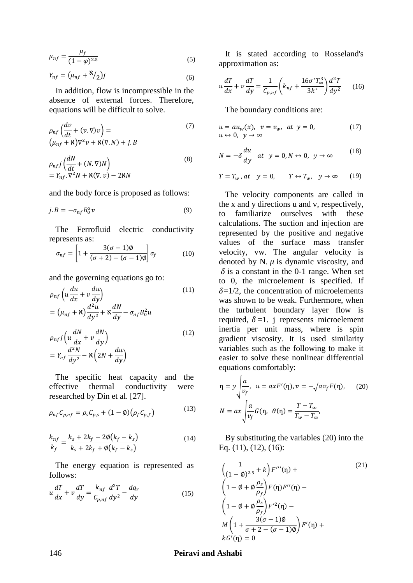$$
\mu_{nf} = \frac{\mu_f}{(1 - \varphi)^{2.5}}
$$
\n(5)

$$
Y_{nf} = \left(\mu_{nf} + \frac{N}{2}\right)j\tag{6}
$$

 In addition, flow is incompressible in the absence of external forces. Therefore, equations will be difficult to solve.

$$
\rho_{nf} \left( \frac{dv}{dt} + (v \cdot \nabla)v \right) = \n(\mu_{nf} + \aleph) \nabla^2 v + \aleph (\nabla \cdot N) + j \cdot B
$$
\n(7)

$$
\rho_{nf}j\left(\frac{dN}{dt} + (N.\nabla)N\right) \n= Y_{nf}.\nabla^2 N + \aleph(\nabla.\nu) - 2\aleph N
$$
\n(8)

and the body force is proposed as follows:

$$
j. B = -\sigma_{nf} B_0^2 v \tag{9}
$$

 The Ferrofluid electric conductivity represents as:

$$
\sigma_{nf} = \left[1 + \frac{3(\sigma - 1)\emptyset}{(\sigma + 2) - (\sigma - 1)\emptyset}\right] \sigma_f \tag{10}
$$

and the governing equations go to:

$$
\rho_{nf} \left( u \frac{du}{dx} + v \frac{du}{dy} \right)
$$
  
=  $\left( \mu_{nf} + \mathbf{x} \right) \frac{d^2 u}{dy^2} + \mathbf{x} \frac{dN}{dy} - \sigma_{nf} B_0^2 u$  (11)

$$
\rho_{nf} j \left( u \frac{dN}{dx} + v \frac{dN}{dy} \right) \n= Y_{nf} \frac{d^2N}{dy^2} - \aleph \left( 2N + \frac{du}{dy} \right)
$$
\n(12)

 The specific heat capacity and the effective thermal conductivity were researched by Din et al. [27].

$$
\rho_{nf} C_{p,nf} = \rho_s C_{p,s} + (1 - \phi) (\rho_f C_{p,f})
$$
\n(13)

$$
\frac{k_{nf}}{k_f} = \frac{k_s + 2k_f - 2\phi(k_f - k_s)}{k_s + 2k_f + \phi(k_f - k_s)}
$$
(14)

 The energy equation is represented as follows:

$$
u\frac{dT}{dx} + v\frac{dT}{dy} = \frac{k_{nf}}{C_{p,nf}}\frac{d^2T}{dy^2} - \frac{dq_r}{dy}
$$
 (15)

 It is stated according to Rosseland's approximation as:

$$
u\frac{dT}{dx} + v\frac{dT}{dy} = \frac{1}{C_{p,nf}} \left( k_{nf} + \frac{16\sigma^* T_{\infty}^3}{3k^*} \right) \frac{d^2T}{dy^2}
$$
 (16)

The boundary conditions are:

$$
u = au_w(x), v = v_w, at y = 0,
$$
  
\n
$$
u \leftrightarrow 0, y \to \infty
$$
\n(17)

$$
N = -\delta \frac{du}{dy} \quad at \quad y = 0, N \leftrightarrow 0, \quad y \to \infty \tag{18}
$$

$$
T = T_w, at \quad y = 0, \qquad T \leftrightarrow T_w, \quad y \to \infty \tag{19}
$$

 The velocity components are called in the x and y directions u and v, respectively, to familiarize ourselves with these calculations. The suction and injection are represented by the positive and negative values of the surface mass transfer velocity, vw. The angular velocity is denoted by N.  $\mu$  is dynamic viscosity, and  $\delta$  is a constant in the 0-1 range. When set to 0, the microelement is specified. If  $\delta = 1/2$ , the concentration of microelements was shown to be weak. Furthermore, when the turbulent boundary layer flow is required,  $\delta$ =1. j represents microelement inertia per unit mass, where is spin gradient viscosity. It is used similarity variables such as the following to make it easier to solve these nonlinear differential equations comfortably:

$$
\eta = y \sqrt{\frac{a}{v_f}}, \quad u = axF'(\eta), v = -\sqrt{av_f}F(\eta), \quad (20)
$$

$$
N = ax \sqrt{\frac{a}{v_f}}G(\eta, \quad \theta(\eta) = \frac{T - T_{\infty}}{T_w - T_{\infty}},
$$

 By substituting the variables (20) into the Eq. (11), (12), (16):

$$
\left(\frac{1}{(1-\phi)^{2.5}}+k\right)F'''(\eta) +
$$
\n
$$
\left(1-\phi+\phi\frac{\rho_s}{\rho_f}\right)F(\eta)F''(\eta) -
$$
\n
$$
\left(1-\phi+\phi\frac{\rho_s}{\rho_f}\right)F'^2(\eta) -
$$
\n
$$
M\left(1+\frac{3(\sigma-1)\phi}{\sigma+2-(\sigma-1)\phi}\right)F'(\eta) +
$$
\n
$$
kG'(\eta) = 0
$$
\n(21)

(13)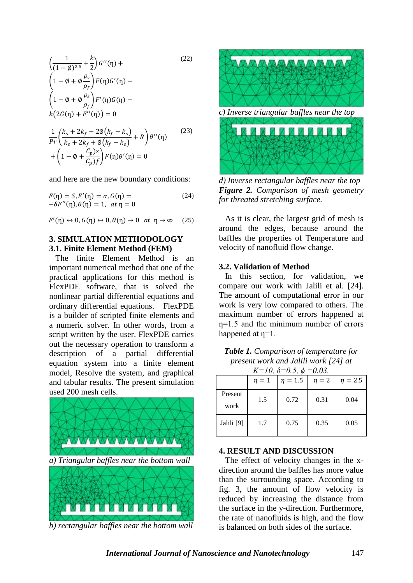$$
\left(\frac{1}{(1-\emptyset)^{2.5}} + \frac{k}{2}\right)G''(\eta) +
$$
\n
$$
\left(1 - \emptyset + \emptyset \frac{\rho_s}{\rho_f}\right)F(\eta)G'(\eta) -
$$
\n
$$
\left(1 - \emptyset + \emptyset \frac{\rho_s}{\rho_f}\right)F'(\eta)G(\eta) -
$$
\n
$$
k(2G(\eta) + F''(\eta)) = 0
$$
\n
$$
\frac{1}{Pr}\left(\frac{k_s + 2k_f - 2\emptyset(k_f - k_s)}{k_s + 2k_f + \emptyset(k_f - k_s)} + R\right)\theta''(\eta)
$$
\n
$$
+\left(1 - \emptyset + \frac{C_p\right)s}{C_p\right)F(\eta)\theta'(\eta) = 0
$$
\n(23)

and here are the new boundary conditions:

$$
F(\eta) = S, F'(\eta) = \alpha, G(\eta) = -\delta F''(\eta), \theta(\eta) = 1, at \eta = 0
$$
\n(24)

 $F'(\eta) \leftrightarrow 0, G(\eta) \leftrightarrow 0, \theta(\eta) \to 0 \text{ at } \eta \to \infty$  (25)

## **3. SIMULATION METHODOLOGY 3.1. Finite Element Method (FEM)**

 The finite Element Method is an important numerical method that one of the practical applications for this method is FlexPDE software, that is solved the nonlinear partial differential equations and ordinary differential equations. FlexPDE is a builder of scripted finite elements and a numeric solver. In other words, from a script written by the user. FlexPDE carries out the necessary operation to transform a description of a partial differential equation system into a finite element model, Resolve the system, and graphical and tabular results. The present simulation used 200 mesh cells.



*b) rectangular baffles near the bottom wall*



*d) Inverse rectangular baffles near the top Figure 2. Comparison of mesh geometry for threated stretching surface.*

 As it is clear, the largest grid of mesh is around the edges, because around the baffles the properties of Temperature and velocity of nanofluid flow change.

#### **3.2. Validation of Method**

 In this section, for validation, we compare our work with Jalili et al. [24]. The amount of computational error in our work is very low compared to others. The maximum number of errors happened at  $n=1.5$  and the minimum number of errors happened at  $\eta=1$ .

*Table 1. Comparison of temperature for present work and Jalili work [24] at*   $K=10, 8-0.5, \pm 0.02$ 

|                 | $\eta=1$ | $\Lambda$ – 10, 0 – 0.0, $\psi$<br>$\eta = 1.5$ | $-U.UJ.$<br>$\eta = 2$ | $\eta = 2.5$ |
|-----------------|----------|-------------------------------------------------|------------------------|--------------|
| Present<br>work | 1.5      | 0.72                                            | 0.31                   | 0.04         |
| Jalili [9]      | 1.7      | 0.75                                            | 0.35                   | 0.05         |

#### **4. RESULT AND DISCUSSION**

 The effect of velocity changes in the xdirection around the baffles has more value than the surrounding space. According to fig. 3, the amount of flow velocity is reduced by increasing the distance from the surface in the y-direction. Furthermore, the rate of nanofluids is high, and the flow is balanced on both sides of the surface.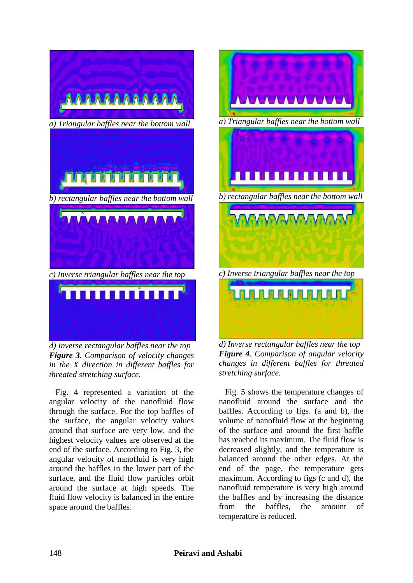

*d) Inverse rectangular baffles near the top Figure 3. Comparison of velocity changes in the X direction in different baffles for threated stretching surface.*

 Fig. 4 represented a variation of the angular velocity of the nanofluid flow through the surface. For the top baffles of the surface, the angular velocity values around that surface are very low, and the highest velocity values are observed at the end of the surface. According to Fig. 3, the angular velocity of nanofluid is very high around the baffles in the lower part of the surface, and the fluid flow particles orbit around the surface at high speeds. The fluid flow velocity is balanced in the entire space around the baffles.



*Figure 4. Comparison of angular velocity changes in different baffles for threated stretching surface.*

 Fig. 5 shows the temperature changes of nanofluid around the surface and the baffles. According to figs. (a and b), the volume of nanofluid flow at the beginning of the surface and around the first baffle has reached its maximum. The fluid flow is decreased slightly, and the temperature is balanced around the other edges. At the end of the page, the temperature gets maximum. According to figs (c and d), the nanofluid temperature is very high around the baffles and by increasing the distance from the baffles, the amount of temperature is reduced.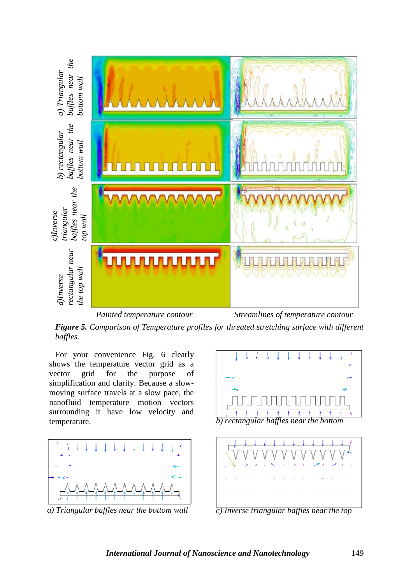

*Painted temperature contour Streamlines of temperature contour*

*Figure 5. Comparison of Temperature profiles for threated stretching surface with different baffles.*

 For your convenience Fig. 6 clearly shows the temperature vector grid as a vector grid for the purpose of simplification and clarity. Because a slowmoving surface travels at a slow pace, the nanofluid temperature motion vectors surrounding it have low velocity and temperature.



*a) Triangular baffles near the bottom wall*





*c) Inverse triangular baffles near the top*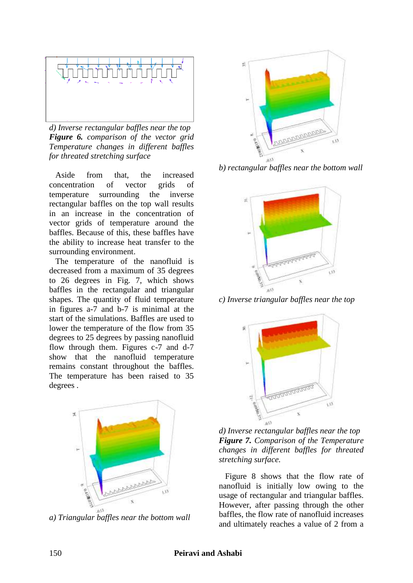

*d) Inverse rectangular baffles near the top Figure 6. comparison of the vector grid Temperature changes in different baffles for threated stretching surface*

 Aside from that, the increased concentration of vector grids of temperature surrounding the inverse rectangular baffles on the top wall results in an increase in the concentration of vector grids of temperature around the baffles. Because of this, these baffles have the ability to increase heat transfer to the surrounding environment.

 The temperature of the nanofluid is decreased from a maximum of 35 degrees to 26 degrees in Fig. 7, which shows baffles in the rectangular and triangular shapes. The quantity of fluid temperature in figures a-7 and b-7 is minimal at the start of the simulations. Baffles are used to lower the temperature of the flow from 35 degrees to 25 degrees by passing nanofluid flow through them. Figures c-7 and d-7 show that the nanofluid temperature remains constant throughout the baffles. The temperature has been raised to 35 degrees .



*a) Triangular baffles near the bottom wall*



*b) rectangular baffles near the bottom wall*



*c) Inverse triangular baffles near the top*



*d) Inverse rectangular baffles near the top Figure 7. Comparison of the Temperature changes in different baffles for threated stretching surface.*

 Figure 8 shows that the flow rate of nanofluid is initially low owing to the usage of rectangular and triangular baffles. However, after passing through the other baffles, the flow rate of nanofluid increases and ultimately reaches a value of 2 from a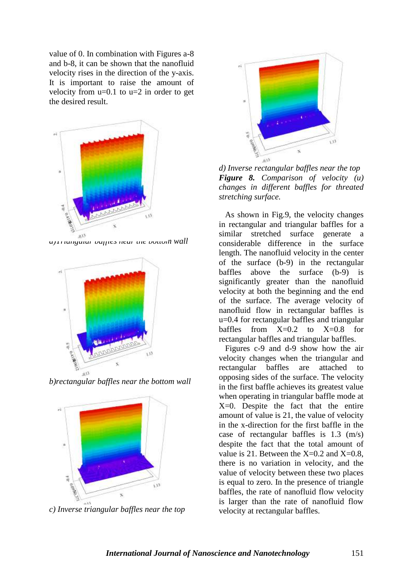value of 0. In combination with Figures a-8 and b-8, it can be shown that the nanofluid velocity rises in the direction of the y-axis. It is important to raise the amount of velocity from  $u=0.1$  to  $u=2$  in order to get the desired result.



*a)Triangular baffles near the bottom wall*



*b)rectangular baffles near the bottom wall*



*c) Inverse triangular baffles near the top*



*d) Inverse rectangular baffles near the top Figure 8. Comparison of velocity (u) changes in different baffles for threated stretching surface.*

As shown in Fig.9, the velocity changes in rectangular and triangular baffles for a similar stretched surface generate a considerable difference in the surface length. The nanofluid velocity in the center of the surface (b-9) in the rectangular baffles above the surface (b-9) is significantly greater than the nanofluid velocity at both the beginning and the end of the surface. The average velocity of nanofluid flow in rectangular baffles is u=0.4 for rectangular baffles and triangular baffles from  $X=0.2$  to  $X=0.8$  for rectangular baffles and triangular baffles.

 Figures c-9 and d-9 show how the air velocity changes when the triangular and rectangular baffles are attached opposing sides of the surface. The velocity in the first baffle achieves its greatest value when operating in triangular baffle mode at X=0. Despite the fact that the entire amount of value is 21, the value of velocity in the x-direction for the first baffle in the case of rectangular baffles is 1.3 (m/s) despite the fact that the total amount of value is 21. Between the  $X=0.2$  and  $X=0.8$ , there is no variation in velocity, and the value of velocity between these two places is equal to zero. In the presence of triangle baffles, the rate of nanofluid flow velocity is larger than the rate of nanofluid flow velocity at rectangular baffles.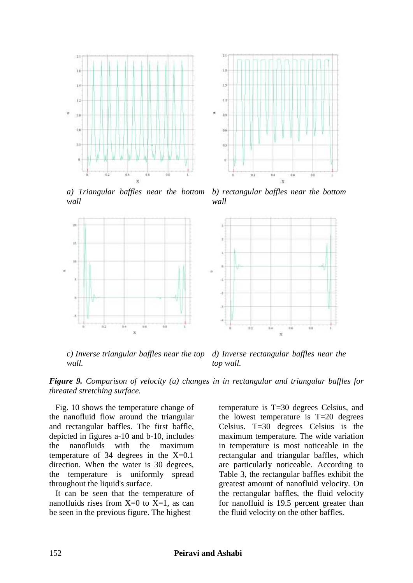



*a) Triangular baffles near the bottom wall*

*b) rectangular baffles near the bottom wall*



*c) Inverse triangular baffles near the top wall. d) Inverse rectangular baffles near the top wall.*

*Figure 9. Comparison of velocity (u) changes in in rectangular and triangular baffles for threated stretching surface.*

 Fig. 10 shows the temperature change of the nanofluid flow around the triangular and rectangular baffles. The first baffle, depicted in figures a-10 and b-10, includes the nanofluids with the maximum temperature of 34 degrees in the X=0.1 direction. When the water is 30 degrees, the temperature is uniformly spread throughout the liquid's surface.

 It can be seen that the temperature of nanofluids rises from  $X=0$  to  $X=1$ , as can be seen in the previous figure. The highest

temperature is T=30 degrees Celsius, and the lowest temperature is T=20 degrees Celsius. T=30 degrees Celsius is the maximum temperature. The wide variation in temperature is most noticeable in the rectangular and triangular baffles, which are particularly noticeable. According to Table 3, the rectangular baffles exhibit the greatest amount of nanofluid velocity. On the rectangular baffles, the fluid velocity for nanofluid is 19.5 percent greater than the fluid velocity on the other baffles.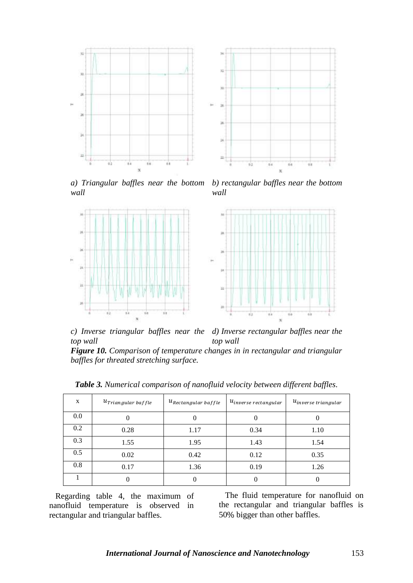

*a) Triangular baffles near the bottom wall b) rectangular baffles near the bottom wall*



*c) Inverse triangular baffles near the top wall d) Inverse rectangular baffles near the top wall*

*Figure 10. Comparison of temperature changes in in rectangular and triangular baffles for threated stretching surface.*

| X   | $u_{Triangular\,$ baffle | $u_{Rectangular\,$ | $u_{inverse\, rectangular}$ | $u_{inverse\ triangular}$ |
|-----|--------------------------|--------------------|-----------------------------|---------------------------|
| 0.0 |                          |                    |                             |                           |
| 0.2 | 0.28                     | 1.17               | 0.34                        | 1.10                      |
| 0.3 | 1.55                     | 1.95               | 1.43                        | 1.54                      |
| 0.5 | 0.02                     | 0.42               | 0.12                        | 0.35                      |
| 0.8 | 0.17                     | 1.36               | 0.19                        | 1.26                      |
|     |                          |                    |                             |                           |

*Table 3. Numerical comparison of nanofluid velocity between different baffles.*

 Regarding table 4, the maximum of nanofluid temperature is observed in rectangular and triangular baffles.

 The fluid temperature for nanofluid on the rectangular and triangular baffles is 50% bigger than other baffles.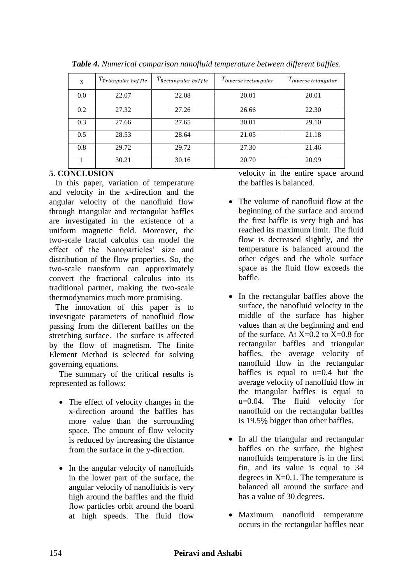| X   | $T_{Triangular\, \, baffle}$ | $T_{Rectangular\, \emph{baffle}}$ | $T_{inverse\, rectangular}$ | $T_{\it inverse\ triangular}$ |
|-----|------------------------------|-----------------------------------|-----------------------------|-------------------------------|
| 0.0 | 22.07                        | 22.08                             | 20.01                       | 20.01                         |
| 0.2 | 27.32                        | 27.26                             | 26.66                       | 22.30                         |
| 0.3 | 27.66                        | 27.65                             | 30.01                       | 29.10                         |
| 0.5 | 28.53                        | 28.64                             | 21.05                       | 21.18                         |
| 0.8 | 29.72                        | 29.72                             | 27.30                       | 21.46                         |
|     | 30.21                        | 30.16                             | 20.70                       | 20.99                         |

*Table 4. Numerical comparison nanofluid temperature between different baffles.*

## **5. CONCLUSION**

 In this paper, variation of temperature and velocity in the x-direction and the angular velocity of the nanofluid flow through triangular and rectangular baffles are investigated in the existence of a uniform magnetic field. Moreover, the two-scale fractal calculus can model the effect of the Nanoparticles' size and distribution of the flow properties. So, the two-scale transform can approximately convert the fractional calculus into its traditional partner, making the two-scale thermodynamics much more promising.

 The innovation of this paper is to investigate parameters of nanofluid flow passing from the different baffles on the stretching surface. The surface is affected by the flow of magnetism. The finite Element Method is selected for solving governing equations.

The summary of the critical results is represented as follows:

- The effect of velocity changes in the x-direction around the baffles has more value than the surrounding space. The amount of flow velocity is reduced by increasing the distance from the surface in the y-direction.
- In the angular velocity of nanofluids in the lower part of the surface, the angular velocity of nanofluids is very high around the baffles and the fluid flow particles orbit around the board at high speeds. The fluid flow

velocity in the entire space around the baffles is balanced.

- The volume of nanofluid flow at the beginning of the surface and around the first baffle is very high and has reached its maximum limit. The fluid flow is decreased slightly, and the temperature is balanced around the other edges and the whole surface space as the fluid flow exceeds the baffle.
- In the rectangular baffles above the surface, the nanofluid velocity in the middle of the surface has higher values than at the beginning and end of the surface. At  $X=0.2$  to  $X=0.8$  for rectangular baffles and triangular baffles, the average velocity of nanofluid flow in the rectangular baffles is equal to  $u=0.4$  but the average velocity of nanofluid flow in the triangular baffles is equal to u=0.04. The fluid velocity for nanofluid on the rectangular baffles is 19.5% bigger than other baffles.
- In all the triangular and rectangular baffles on the surface, the highest nanofluids temperature is in the first fin, and its value is equal to 34 degrees in  $X=0.1$ . The temperature is balanced all around the surface and has a value of 30 degrees.
- Maximum nanofluid temperature occurs in the rectangular baffles near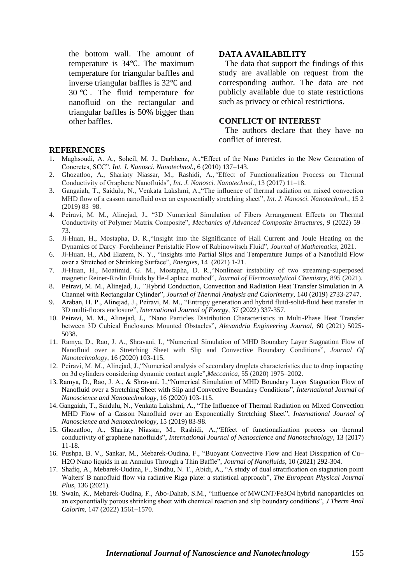the bottom wall. The amount of temperature is  $34^{\circ}$ C. The maximum temperature for triangular baffles and inverse triangular baffles is  $32^{\circ}$ C and 30 $\degree$ C. The fluid temperature for nanofluid on the rectangular and triangular baffles is 50% bigger than other baffles.

#### **DATA AVAILABILITY**

 The data that support the findings of this study are available on request from the corresponding author. The data are not publicly available due to state restrictions such as privacy or ethical restrictions.

#### **CONFLICT OF INTEREST**

 The authors declare that they have no conflict of interest.

#### **REFERENCES**

- 1. Maghsoudi, A. A., Soheil, M. J., Darbhenz, A.,"Effect of the Nano Particles in the New Generation of Concretes, SCC", *Int. J. Nanosci. Nanotechnol.*, 6 (2010) 137–143.
- 2. Ghozatloo, A., Shariaty Niassar, M., Rashidi, A.,*"*Effect of Functionalization Process on Thermal Conductivity of Graphene Nanofluids"*, Int. J. Nanosci. Nanotechnol.*, 13 (2017) 11–18.
- 3. Gangaiah, T., Saidulu, N., Venkata Lakshmi, A.,"The influence of thermal radiation on mixed convection MHD flow of a casson nanofluid over an exponentially stretching sheet"*, Int. J. Nanosci. Nanotechnol.*, 15 2 (2019) 83–98.
- 4. Peiravi, M. M., Alinejad, J., "3D Numerical Simulation of Fibers Arrangement Effects on Thermal Conductivity of Polymer Matrix Composite", *Mechanics of Advanced Composite Structures*, *9* (2022) 59– 73.
- 5. Ji-Huan, H., Mostapha, D. R.,"Insight into the Significance of Hall Current and Joule Heating on the Dynamics of Darcy–Forchheimer Peristaltic Flow of Rabinowitsch Fluid", *Journal of Mathematics*, 2021.
- 6. Ji-Huan, H., Abd Elazem, N. Y., "Insights into Partial Slips and Temperature Jumps of a Nanofluid Flow over a Stretched or Shrinking Surface", *Energies*, 14 (2021) 1-21.
- 7. Ji-Huan, H., Moatimid, G. M., Mostapha, D. R.,"Nonlinear instability of two streaming-superposed magnetic Reiner-Rivlin Fluids by He-Laplace method", *Journal of Electroanalytical Chemistry*, 895 (2021).
- 8. Peiravi, M. M., Alinejad, J., *"*Hybrid Conduction, Convection and Radiation Heat Transfer Simulation in A Channel with Rectangular Cylinder"*, Journal of Thermal Analysis and Calorimetry*, 140 (2019) 2733-2747.
- 9. Araban, H. P., Alinejad, J., Peiravi, M. M., "Entropy generation and hybrid fluid-solid-fluid heat transfer in 3D multi-floors enclosure", *International Journal of Exergy,* 37 (2022) 337-357.
- 10. Peiravi, M. M., Alinejad, J., "Nano Particles Distribution Characteristics in Multi-Phase Heat Transfer between 3D Cubical Enclosures Mounted Obstacles"*, Alexandria Engineering Journal*, 60 (2021) 5025- 5038.
- 11. Ramya, D., Rao, J. A., Shravani, I., "Numerical Simulation of MHD Boundary Layer Stagnation Flow of Nanofluid over a Stretching Sheet with Slip and Convective Boundary Conditions", *Journal Of Nanotechnology*, 16 (2020) 103-115.
- 12. Peiravi, M. M., Alinejad, J.,"Numerical analysis of secondary droplets characteristics due to drop impacting on 3d cylinders considering dynamic contact angle",*Meccanica*, 55 (2020) 1975–2002.
- 13. Ramya, D., Rao, J. A., & Shravani, I.,"Numerical Simulation of MHD Boundary Layer Stagnation Flow of Nanofluid over a Stretching Sheet with Slip and Convective Boundary Conditions", *International Journal of Nanoscience and Nanotechnology*, 16 (2020) 103-115.
- 14. Gangaiah, T., Saidulu, N., Venkata Lakshmi, A., "The Influence of Thermal Radiation on Mixed Convection MHD Flow of a Casson Nanofluid over an Exponentially Stretching Sheet", *International Journal of Nanoscience and Nanotechnology*, 15 (2019) 83-98.
- 15. Ghozatloo, A., Shariaty Niassar, M., Rashidi, A.,"Effect of functionalization process on thermal conductivity of graphene nanofluids", *International Journal of Nanoscience and Nanotechnology,* 13 (2017) 11-18.
- 16. Pushpa, B. V., Sankar, M., Mebarek-Oudina, F., "Buoyant Convective Flow and Heat Dissipation of Cu– H2O Nano liquids in an Annulus Through a Thin Baffle", *Journal of Nanofluids*, 10 (2021) 292-304.
- 17. Shafiq, A., Mebarek-Oudina, F., Sindhu, N. T., Abidi, A., "A study of dual stratification on stagnation point Walters' B nanofluid flow via radiative Riga plate: a statistical approach", *The European Physical Journal Plus*, 136 (2021).
- 18. Swain, K., Mebarek-Oudina, F., Abo-Dahab, S.M., "Influence of MWCNT/Fe3O4 hybrid nanoparticles on an exponentially porous shrinking sheet with chemical reaction and slip boundary conditions", *J Therm Anal Calorim,* 147 (2022) 1561–1570.